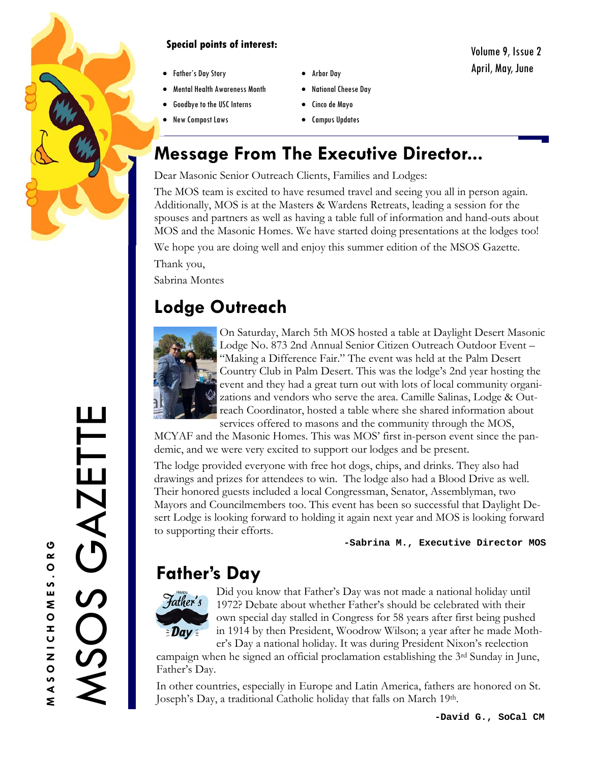

#### **Special points of interest:**

- Father's Day Story
- Mental Health Awareness Month
- Goodbye to the USC Interns
- New Compost Laws
- Arbor Day
- National Cheese Day
- Cinco de Mayo
- $\bullet$  Campus Updates

# **Message From The Executive Director...**

Dear Masonic Senior Outreach Clients, Families and Lodges:

The MOS team is excited to have resumed travel and seeing you all in person again. Additionally, MOS is at the Masters & Wardens Retreats, leading a session for the spouses and partners as well as having a table full of information and hand-outs about MOS and the Masonic Homes. We have started doing presentations at the lodges too!

We hope you are doing well and enjoy this summer edition of the MSOS Gazette. Thank you,

Sabrina Montes

# **Lodge Outreach**



On Saturday, March 5th MOS hosted a table at Daylight Desert Masonic Lodge No. 873 2nd Annual Senior Citizen Outreach Outdoor Event – "Making a Difference Fair." The event was held at the Palm Desert Country Club in Palm Desert. This was the lodge's 2nd year hosting the event and they had a great turn out with lots of local community organizations and vendors who serve the area. Camille Salinas, Lodge & Outreach Coordinator, hosted a table where she shared information about services offered to masons and the community through the MOS,

MCYAF and the Masonic Homes. This was MOS' first in-person event since the pandemic, and we were very excited to support our lodges and be present.

The lodge provided everyone with free hot dogs, chips, and drinks. They also had drawings and prizes for attendees to win. The lodge also had a Blood Drive as well. Their honored guests included a local Congressman, Senator, Assemblyman, two Mayors and Councilmembers too. This event has been so successful that Daylight Desert Lodge is looking forward to holding it again next year and MOS is looking forward to supporting their efforts.

**-Sabrina M., Executive Director MOS** 

# **Father's Day**



Did you know that Father's Day was not made a national holiday until 1972? Debate about whether Father's should be celebrated with their own special day stalled in Congress for 58 years after first being pushed in 1914 by then President, Woodrow Wilson; a year after he made Mother's Day a national holiday. It was during President Nixon's reelection

campaign when he signed an official proclamation establishing the 3rd Sunday in June, Father's Day.

In other countries, especially in Europe and Latin America, fathers are honored on St. Joseph's Day, a traditional Catholic holiday that falls on March 19th.

MSOS GAZETTE

SOS

GAZETT

Ш

Volume 9, Issue 2 April, May, June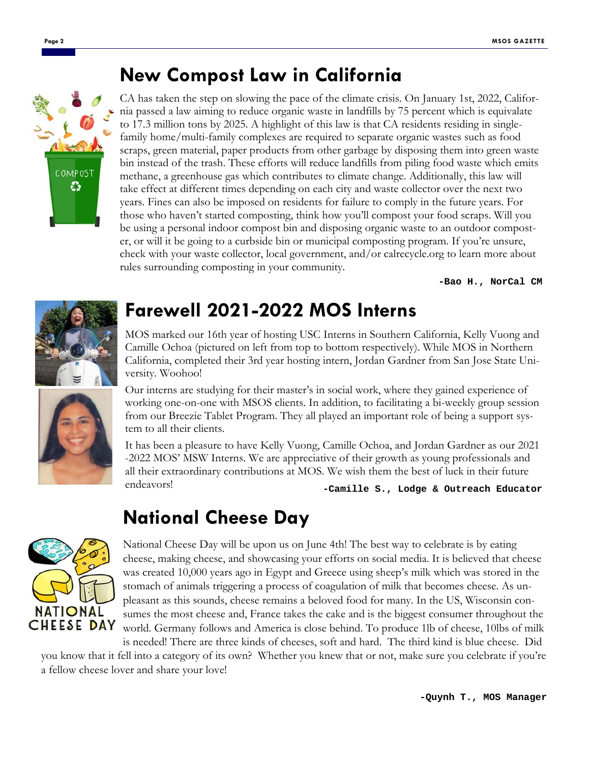#### **New Compost Law in California**



CA has taken the step on slowing the pace of the climate crisis. On January 1st, 2022, California passed a law aiming to reduce organic waste in landfills by 75 percent which is equivalate to 17.3 million tons by 2025. A highlight of this law is that CA residents residing in singlefamily home/multi-family complexes are required to separate organic wastes such as food scraps, green material, paper products from other garbage by disposing them into green waste bin instead of the trash. These efforts will reduce landfills from piling food waste which emits methane, a greenhouse gas which contributes to climate change. Additionally, this law will take effect at different times depending on each city and waste collector over the next two years. Fines can also be imposed on residents for failure to comply in the future years. For those who haven't started composting, think how you'll compost your food scraps. Will you be using a personal indoor compost bin and disposing organic waste to an outdoor composter, or will it be going to a curbside bin or municipal composting program. If you're unsure, check with your waste collector, local government, and/or calrecycle.org to learn more about rules surrounding composting in your community.

**-Bao H., NorCal CM** 



### **Farewell 2021-2022 MOS Interns**

MOS marked our 16th year of hosting USC Interns in Southern California, Kelly Vuong and Camille Ochoa (pictured on left from top to bottom respectively). While MOS in Northern California, completed their 3rd year hosting intern, Jordan Gardner from San Jose State University. Woohoo!

Our interns are studying for their master's in social work, where they gained experience of working one-on-one with MSOS clients. In addition, to facilitating a bi-weekly group session from our Breezie Tablet Program. They all played an important role of being a support system to all their clients.

It has been a pleasure to have Kelly Vuong, Camille Ochoa, and Jordan Gardner as our 2021 -2022 MOS' MSW Interns. We are appreciative of their growth as young professionals and all their extraordinary contributions at MOS. We wish them the best of luck in their future endeavors! **-Camille S., Lodge & Outreach Educator** 

### **National Cheese Day**



National Cheese Day will be upon us on June 4th! The best way to celebrate is by eating cheese, making cheese, and showcasing your efforts on social media. It is believed that cheese was created 10,000 years ago in Egypt and Greece using sheep's milk which was stored in the stomach of animals triggering a process of coagulation of milk that becomes cheese. As unpleasant as this sounds, cheese remains a beloved food for many. In the US, Wisconsin consumes the most cheese and, France takes the cake and is the biggest consumer throughout the world. Germany follows and America is close behind. To produce 1lb of cheese, 10lbs of milk is needed! There are three kinds of cheeses, soft and hard. The third kind is blue cheese. Did

you know that it fell into a category of its own? Whether you knew that or not, make sure you celebrate if you're a fellow cheese lover and share your love!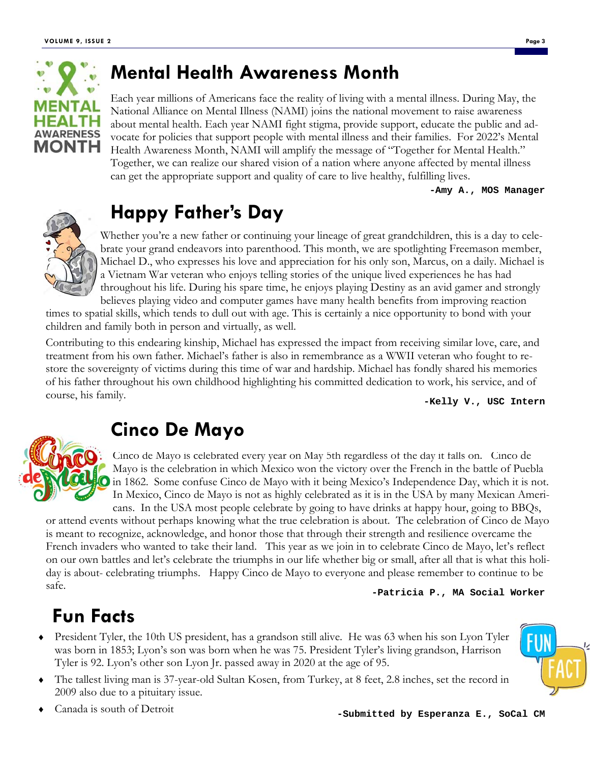

#### **Mental Health Awareness Month**

Each year millions of Americans face the reality of living with a mental illness. During May, the National Alliance on Mental Illness (NAMI) joins the national movement to raise awareness about mental health. Each year NAMI fight stigma, provide support, educate the public and advocate for policies that support people with mental illness and their families. For 2022's Mental Health Awareness Month, NAMI will amplify the message of "Together for Mental Health." Together, we can realize our shared vision of a nation where anyone affected by mental illness can get the appropriate support and quality of care to live healthy, fulfilling lives.

**-Amy A., MOS Manager** 



### **Happy Father's Day**

Whether you're a new father or continuing your lineage of great grandchildren, this is a day to celebrate your grand endeavors into parenthood. This month, we are spotlighting Freemason member, Michael D., who expresses his love and appreciation for his only son, Marcus, on a daily. Michael is a Vietnam War veteran who enjoys telling stories of the unique lived experiences he has had throughout his life. During his spare time, he enjoys playing Destiny as an avid gamer and strongly

believes playing video and computer games have many health benefits from improving reaction times to spatial skills, which tends to dull out with age. This is certainly a nice opportunity to bond with your children and family both in person and virtually, as well.

Contributing to this endearing kinship, Michael has expressed the impact from receiving similar love, care, and treatment from his own father. Michael's father is also in remembrance as a WWII veteran who fought to restore the sovereignty of victims during this time of war and hardship. Michael has fondly shared his memories of his father throughout his own childhood highlighting his committed dedication to work, his service, and of course, his family.

**-Kelly V., USC Intern** 



### **Cinco De Mayo**

Cinco de Mayo is celebrated every year on May 5th regardless of the day it falls on. Cinco de Mayo is the celebration in which Mexico won the victory over the French in the battle of Puebla in 1862. Some confuse Cinco de Mayo with it being Mexico's Independence Day, which it is not. In Mexico, Cinco de Mayo is not as highly celebrated as it is in the USA by many Mexican Americans. In the USA most people celebrate by going to have drinks at happy hour, going to BBQs,

or attend events without perhaps knowing what the true celebration is about. The celebration of Cinco de Mayo is meant to recognize, acknowledge, and honor those that through their strength and resilience overcame the French invaders who wanted to take their land. This year as we join in to celebrate Cinco de Mayo, let's reflect on our own battles and let's celebrate the triumphs in our life whether big or small, after all that is what this holiday is about- celebrating triumphs. Happy Cinco de Mayo to everyone and please remember to continue to be safe.

**-Patricia P., MA Social Worker** 

### **Fun Facts**

- President Tyler, the 10th US president, has a grandson still alive. He was 63 when his son Lyon Tyler was born in 1853; Lyon's son was born when he was 75. President Tyler's living grandson, Harrison Tyler is 92. Lyon's other son Lyon Jr. passed away in 2020 at the age of 95.
- The tallest living man is 37-year-old Sultan Kosen, from Turkey, at 8 feet, 2.8 inches, set the record in 2009 also due to a pituitary issue.
-